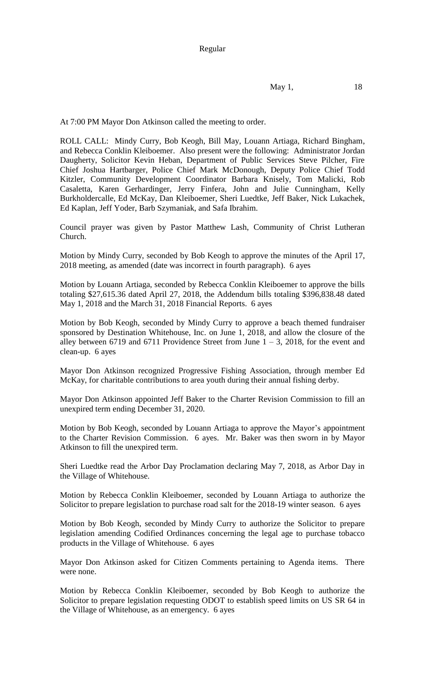Regular

May 1, 18

At 7:00 PM Mayor Don Atkinson called the meeting to order.

ROLL CALL: Mindy Curry, Bob Keogh, Bill May, Louann Artiaga, Richard Bingham, and Rebecca Conklin Kleiboemer. Also present were the following: Administrator Jordan Daugherty, Solicitor Kevin Heban, Department of Public Services Steve Pilcher, Fire Chief Joshua Hartbarger, Police Chief Mark McDonough, Deputy Police Chief Todd Kitzler, Community Development Coordinator Barbara Knisely, Tom Malicki, Rob Casaletta, Karen Gerhardinger, Jerry Finfera, John and Julie Cunningham, Kelly Burkholdercalle, Ed McKay, Dan Kleiboemer, Sheri Luedtke, Jeff Baker, Nick Lukachek, Ed Kaplan, Jeff Yoder, Barb Szymaniak, and Safa Ibrahim.

Council prayer was given by Pastor Matthew Lash, Community of Christ Lutheran Church.

Motion by Mindy Curry, seconded by Bob Keogh to approve the minutes of the April 17, 2018 meeting, as amended (date was incorrect in fourth paragraph). 6 ayes

Motion by Louann Artiaga, seconded by Rebecca Conklin Kleiboemer to approve the bills totaling \$27,615.36 dated April 27, 2018, the Addendum bills totaling \$396,838.48 dated May 1, 2018 and the March 31, 2018 Financial Reports. 6 ayes

Motion by Bob Keogh, seconded by Mindy Curry to approve a beach themed fundraiser sponsored by Destination Whitehouse, Inc. on June 1, 2018, and allow the closure of the alley between 6719 and 6711 Providence Street from June  $1 - 3$ , 2018, for the event and clean-up. 6 ayes

Mayor Don Atkinson recognized Progressive Fishing Association, through member Ed McKay, for charitable contributions to area youth during their annual fishing derby.

Mayor Don Atkinson appointed Jeff Baker to the Charter Revision Commission to fill an unexpired term ending December 31, 2020.

Motion by Bob Keogh, seconded by Louann Artiaga to approve the Mayor's appointment to the Charter Revision Commission. 6 ayes. Mr. Baker was then sworn in by Mayor Atkinson to fill the unexpired term.

Sheri Luedtke read the Arbor Day Proclamation declaring May 7, 2018, as Arbor Day in the Village of Whitehouse.

Motion by Rebecca Conklin Kleiboemer, seconded by Louann Artiaga to authorize the Solicitor to prepare legislation to purchase road salt for the 2018-19 winter season. 6 ayes

Motion by Bob Keogh, seconded by Mindy Curry to authorize the Solicitor to prepare legislation amending Codified Ordinances concerning the legal age to purchase tobacco products in the Village of Whitehouse. 6 ayes

Mayor Don Atkinson asked for Citizen Comments pertaining to Agenda items. There were none.

Motion by Rebecca Conklin Kleiboemer, seconded by Bob Keogh to authorize the Solicitor to prepare legislation requesting ODOT to establish speed limits on US SR 64 in the Village of Whitehouse, as an emergency. 6 ayes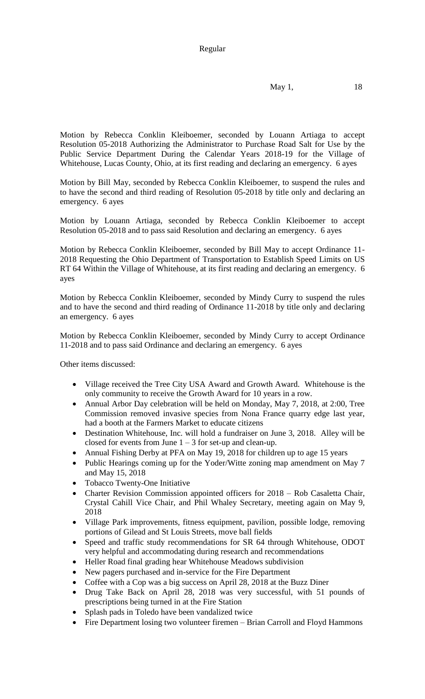## Regular

$$
May 1, \t 18
$$

Motion by Rebecca Conklin Kleiboemer, seconded by Louann Artiaga to accept Resolution 05-2018 Authorizing the Administrator to Purchase Road Salt for Use by the Public Service Department During the Calendar Years 2018-19 for the Village of Whitehouse, Lucas County, Ohio, at its first reading and declaring an emergency. 6 ayes

Motion by Bill May, seconded by Rebecca Conklin Kleiboemer, to suspend the rules and to have the second and third reading of Resolution 05-2018 by title only and declaring an emergency. 6 ayes

Motion by Louann Artiaga, seconded by Rebecca Conklin Kleiboemer to accept Resolution 05-2018 and to pass said Resolution and declaring an emergency. 6 ayes

Motion by Rebecca Conklin Kleiboemer, seconded by Bill May to accept Ordinance 11- 2018 Requesting the Ohio Department of Transportation to Establish Speed Limits on US RT 64 Within the Village of Whitehouse, at its first reading and declaring an emergency. 6 ayes

Motion by Rebecca Conklin Kleiboemer, seconded by Mindy Curry to suspend the rules and to have the second and third reading of Ordinance 11-2018 by title only and declaring an emergency. 6 ayes

Motion by Rebecca Conklin Kleiboemer, seconded by Mindy Curry to accept Ordinance 11-2018 and to pass said Ordinance and declaring an emergency. 6 ayes

Other items discussed:

- Village received the Tree City USA Award and Growth Award. Whitehouse is the only community to receive the Growth Award for 10 years in a row.
- Annual Arbor Day celebration will be held on Monday, May 7, 2018, at 2:00, Tree Commission removed invasive species from Nona France quarry edge last year, had a booth at the Farmers Market to educate citizens
- Destination Whitehouse, Inc. will hold a fundraiser on June 3, 2018. Alley will be closed for events from June  $1 - 3$  for set-up and clean-up.
- Annual Fishing Derby at PFA on May 19, 2018 for children up to age 15 years
- Public Hearings coming up for the Yoder/Witte zoning map amendment on May 7 and May 15, 2018
- Tobacco Twenty-One Initiative
- Charter Revision Commission appointed officers for 2018 Rob Casaletta Chair, Crystal Cahill Vice Chair, and Phil Whaley Secretary, meeting again on May 9, 2018
- Village Park improvements, fitness equipment, pavilion, possible lodge, removing portions of Gilead and St Louis Streets, move ball fields
- Speed and traffic study recommendations for SR 64 through Whitehouse, ODOT very helpful and accommodating during research and recommendations
- Heller Road final grading hear Whitehouse Meadows subdivision
- New pagers purchased and in-service for the Fire Department
- Coffee with a Cop was a big success on April 28, 2018 at the Buzz Diner
- Drug Take Back on April 28, 2018 was very successful, with 51 pounds of prescriptions being turned in at the Fire Station
- Splash pads in Toledo have been vandalized twice
- Fire Department losing two volunteer firemen Brian Carroll and Floyd Hammons